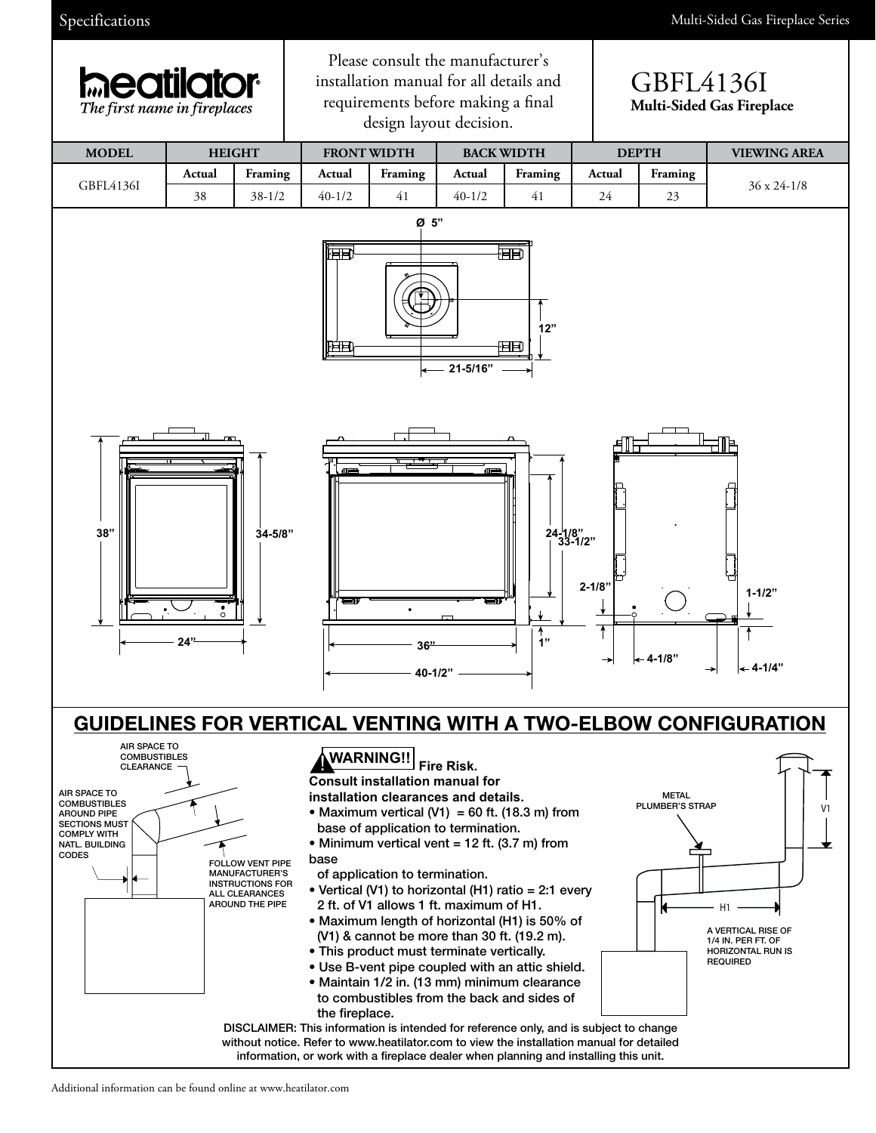